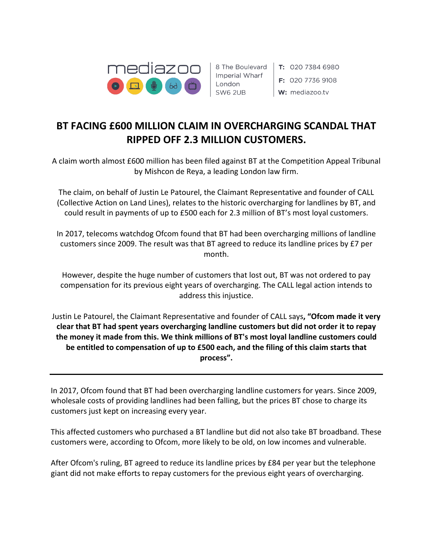

Imperial Wharf London SW6 2UB

8 The Boulevard | T: 020 7384 6980  $\mathsf{F}$ : 020 7736 9108 W: mediazoo.tv

# **BT FACING £600 MILLION CLAIM IN OVERCHARGING SCANDAL THAT RIPPED OFF 2.3 MILLION CUSTOMERS.**

A claim worth almost £600 million has been filed against BT at the Competition Appeal Tribunal by Mishcon de Reya, a leading London law firm.

The claim, on behalf of Justin Le Patourel, the Claimant Representative and founder of CALL (Collective Action on Land Lines), relates to the historic overcharging for landlines by BT, and could result in payments of up to £500 each for 2.3 million of BT's most loyal customers.

In 2017, telecoms watchdog Ofcom found that BT had been overcharging millions of landline customers since 2009. The result was that BT agreed to reduce its landline prices by £7 per month.

However, despite the huge number of customers that lost out, BT was not ordered to pay compensation for its previous eight years of overcharging. The CALL legal action intends to address this injustice.

Justin Le Patourel, the Claimant Representative and founder of CALL says**, "Ofcom made it very clear that BT had spent years overcharging landline customers but did not order it to repay the money it made from this. We think millions of BT's most loyal landline customers could be entitled to compensation of up to £500 each, and the filing of this claim starts that process".**

In 2017, Ofcom found that BT had been overcharging landline customers for years. Since 2009, wholesale costs of providing landlines had been falling, but the prices BT chose to charge its customers just kept on increasing every year.

This affected customers who purchased a BT landline but did not also take BT broadband. These customers were, according to Ofcom, more likely to be old, on low incomes and vulnerable.

After Ofcom's ruling, BT agreed to reduce its landline prices by £84 per year but the telephone giant did not make efforts to repay customers for the previous eight years of overcharging.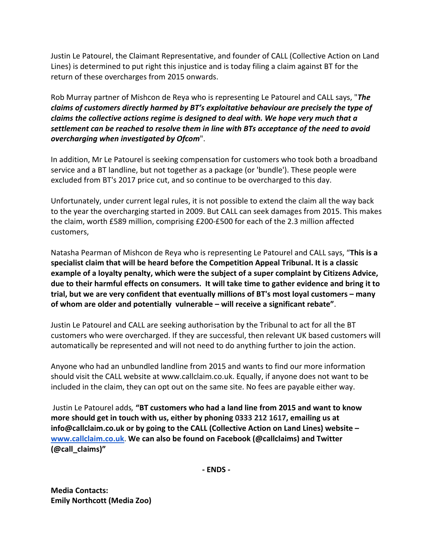Justin Le Patourel, the Claimant Representative, and founder of CALL (Collective Action on Land Lines) is determined to put right this injustice and is today filing a claim against BT for the return of these overcharges from 2015 onwards.

Rob Murray partner of Mishcon de Reya who is representing Le Patourel and CALL says, "*The claims of customers directly harmed by BT's exploitative behaviour are precisely the type of claims the collective actions regime is designed to deal with. We hope very much that a settlement can be reached to resolve them in line with BTs acceptance of the need to avoid overcharging when investigated by Ofcom*".

In addition, Mr Le Patourel is seeking compensation for customers who took both a broadband service and a BT landline, but not together as a package (or 'bundle'). These people were excluded from BT's 2017 price cut, and so continue to be overcharged to this day.

Unfortunately, under current legal rules, it is not possible to extend the claim all the way back to the year the overcharging started in 2009. But CALL can seek damages from 2015. This makes the claim, worth £589 million, comprising £200-£500 for each of the 2.3 million affected customers,

Natasha Pearman of Mishcon de Reya who is representing Le Patourel and CALL says, "**This is a specialist claim that will be heard before the Competition Appeal Tribunal. It is a classic example of a loyalty penalty, which were the subject of a super complaint by Citizens Advice, due to their harmful effects on consumers. It will take time to gather evidence and bring it to trial, but we are very confident that eventually millions of BT's most loyal customers – many of whom are older and potentially vulnerable – will receive a significant rebate"**.

Justin Le Patourel and CALL are seeking authorisation by the Tribunal to act for all the BT customers who were overcharged. If they are successful, then relevant UK based customers will automatically be represented and will not need to do anything further to join the action.

Anyone who had an unbundled landline from 2015 and wants to find our more information should visit the CALL website at www.callclaim.co.uk. Equally, if anyone does not want to be included in the claim, they can opt out on the same site. No fees are payable either way.

Justin Le Patourel adds*,* **"BT customers who had a land line from 2015 and want to know more should get in touch with us, either by phoning 0333 212 1617, emailing us at info@callclaim.co.uk or by going to the CALL (Collective Action on Land Lines) website – [www.callclaim.co.uk](http://www.callclaim.co.uk/)**. **We can also be found on Facebook (@callclaims) and Twitter (@call\_claims)"**

**- ENDS -**

**Media Contacts: Emily Northcott (Media Zoo)**